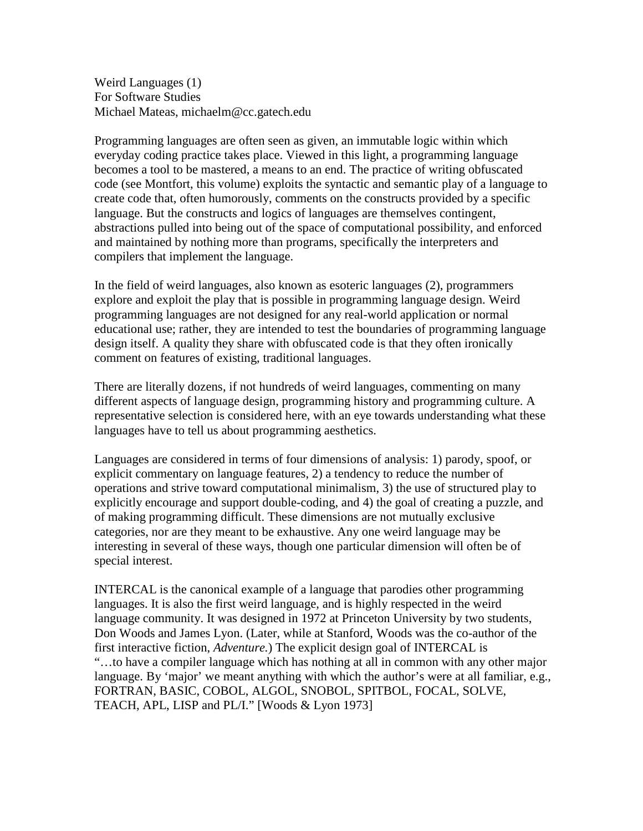Weird Languages (1) For Software Studies Michael Mateas, michaelm@cc.gatech.edu

Programming languages are often seen as given, an immutable logic within which everyday coding practice takes place. Viewed in this light, a programming language becomes a tool to be mastered, a means to an end. The practice of writing obfuscated code (see Montfort, this volume) exploits the syntactic and semantic play of a language to create code that, often humorously, comments on the constructs provided by a specific language. But the constructs and logics of languages are themselves contingent, abstractions pulled into being out of the space of computational possibility, and enforced and maintained by nothing more than programs, specifically the interpreters and compilers that implement the language.

In the field of weird languages, also known as esoteric languages (2), programmers explore and exploit the play that is possible in programming language design. Weird programming languages are not designed for any real-world application or normal educational use; rather, they are intended to test the boundaries of programming language design itself. A quality they share with obfuscated code is that they often ironically comment on features of existing, traditional languages.

There are literally dozens, if not hundreds of weird languages, commenting on many different aspects of language design, programming history and programming culture. A representative selection is considered here, with an eye towards understanding what these languages have to tell us about programming aesthetics.

Languages are considered in terms of four dimensions of analysis: 1) parody, spoof, or explicit commentary on language features, 2) a tendency to reduce the number of operations and strive toward computational minimalism, 3) the use of structured play to explicitly encourage and support double-coding, and 4) the goal of creating a puzzle, and of making programming difficult. These dimensions are not mutually exclusive categories, nor are they meant to be exhaustive. Any one weird language may be interesting in several of these ways, though one particular dimension will often be of special interest.

INTERCAL is the canonical example of a language that parodies other programming languages. It is also the first weird language, and is highly respected in the weird language community. It was designed in 1972 at Princeton University by two students, Don Woods and James Lyon. (Later, while at Stanford, Woods was the co-author of the first interactive fiction, *Adventure.*) The explicit design goal of INTERCAL is "…to have a compiler language which has nothing at all in common with any other major language. By 'major' we meant anything with which the author's were at all familiar, e.g., FORTRAN, BASIC, COBOL, ALGOL, SNOBOL, SPITBOL, FOCAL, SOLVE, TEACH, APL, LISP and PL/I." [Woods & Lyon 1973]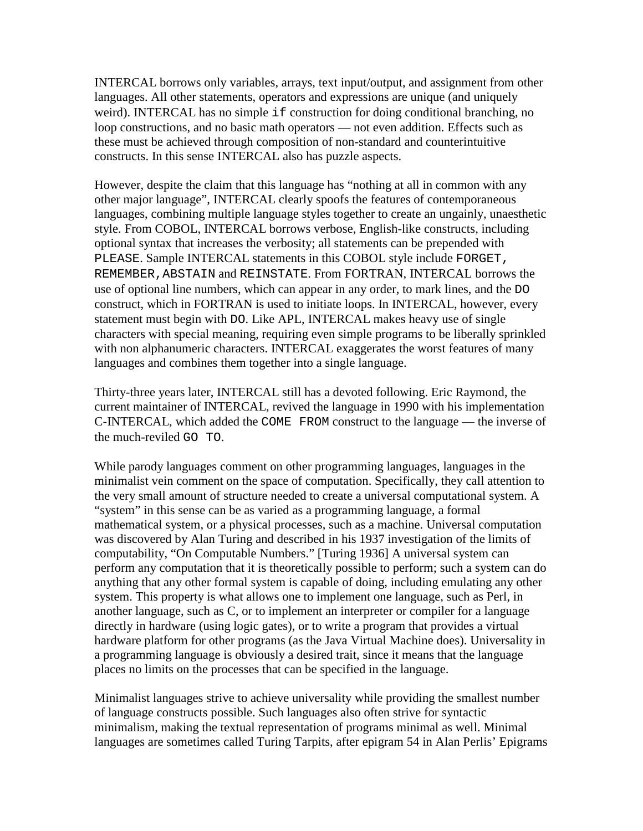INTERCAL borrows only variables, arrays, text input/output, and assignment from other languages. All other statements, operators and expressions are unique (and uniquely weird). INTERCAL has no simple if construction for doing conditional branching, no loop constructions, and no basic math operators — not even addition. Effects such as these must be achieved through composition of non-standard and counterintuitive constructs. In this sense INTERCAL also has puzzle aspects.

However, despite the claim that this language has "nothing at all in common with any other major language", INTERCAL clearly spoofs the features of contemporaneous languages, combining multiple language styles together to create an ungainly, unaesthetic style. From COBOL, INTERCAL borrows verbose, English-like constructs, including optional syntax that increases the verbosity; all statements can be prepended with PLEASE. Sample INTERCAL statements in this COBOL style include FORGET, REMEMBER,ABSTAIN and REINSTATE. From FORTRAN, INTERCAL borrows the use of optional line numbers, which can appear in any order, to mark lines, and the DO construct, which in FORTRAN is used to initiate loops. In INTERCAL, however, every statement must begin with DO. Like APL, INTERCAL makes heavy use of single characters with special meaning, requiring even simple programs to be liberally sprinkled with non alphanumeric characters. INTERCAL exaggerates the worst features of many languages and combines them together into a single language.

Thirty-three years later, INTERCAL still has a devoted following. Eric Raymond, the current maintainer of INTERCAL, revived the language in 1990 with his implementation C-INTERCAL, which added the COME FROM construct to the language — the inverse of the much-reviled GO TO.

While parody languages comment on other programming languages, languages in the minimalist vein comment on the space of computation. Specifically, they call attention to the very small amount of structure needed to create a universal computational system. A "system" in this sense can be as varied as a programming language, a formal mathematical system, or a physical processes, such as a machine. Universal computation was discovered by Alan Turing and described in his 1937 investigation of the limits of computability, "On Computable Numbers." [Turing 1936] A universal system can perform any computation that it is theoretically possible to perform; such a system can do anything that any other formal system is capable of doing, including emulating any other system. This property is what allows one to implement one language, such as Perl, in another language, such as C, or to implement an interpreter or compiler for a language directly in hardware (using logic gates), or to write a program that provides a virtual hardware platform for other programs (as the Java Virtual Machine does). Universality in a programming language is obviously a desired trait, since it means that the language places no limits on the processes that can be specified in the language.

Minimalist languages strive to achieve universality while providing the smallest number of language constructs possible. Such languages also often strive for syntactic minimalism, making the textual representation of programs minimal as well. Minimal languages are sometimes called Turing Tarpits, after epigram 54 in Alan Perlis' Epigrams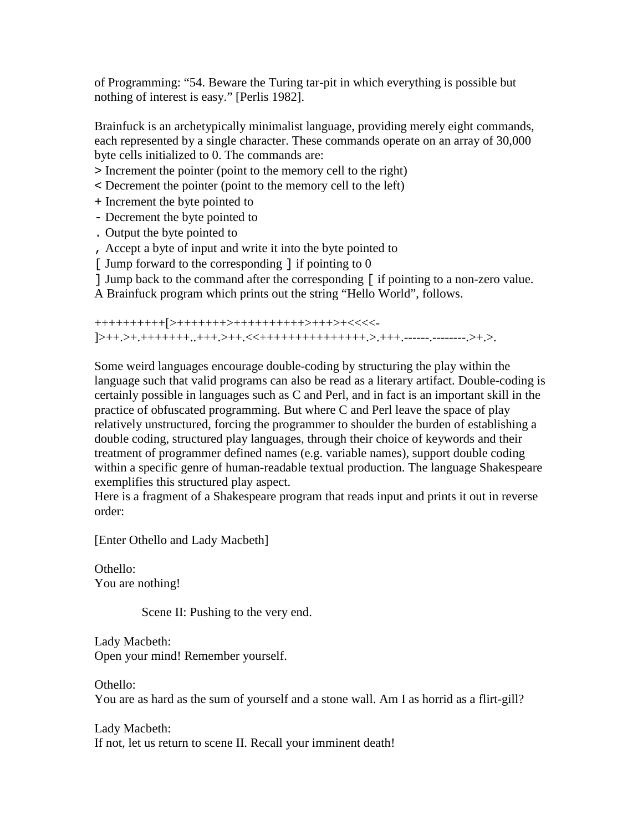of Programming: "54. Beware the Turing tar-pit in which everything is possible but nothing of interest is easy." [Perlis 1982].

Brainfuck is an archetypically minimalist language, providing merely eight commands, each represented by a single character. These commands operate on an array of 30,000 byte cells initialized to 0. The commands are:

- > Increment the pointer (point to the memory cell to the right)
- < Decrement the pointer (point to the memory cell to the left)
- + Increment the byte pointed to
- Decrement the byte pointed to
- . Output the byte pointed to
- , Accept a byte of input and write it into the byte pointed to
- [ Jump forward to the corresponding ] if pointing to 0
- ] Jump back to the command after the corresponding [ if pointing to a non-zero value.

A Brainfuck program which prints out the string "Hello World", follows.

++++++++++[>+++++++>++++++++++>+++>+<<<<- ]>++.>+.+++++++..+++.>++.<<+++++++++++++++.>.+++.------.--------.>+.>.

Some weird languages encourage double-coding by structuring the play within the language such that valid programs can also be read as a literary artifact. Double-coding is certainly possible in languages such as C and Perl, and in fact is an important skill in the practice of obfuscated programming. But where C and Perl leave the space of play relatively unstructured, forcing the programmer to shoulder the burden of establishing a double coding, structured play languages, through their choice of keywords and their treatment of programmer defined names (e.g. variable names), support double coding within a specific genre of human-readable textual production. The language Shakespeare exemplifies this structured play aspect.

Here is a fragment of a Shakespeare program that reads input and prints it out in reverse order:

[Enter Othello and Lady Macbeth]

Othello: You are nothing!

Scene II: Pushing to the very end.

Lady Macbeth: Open your mind! Remember yourself.

Othello: You are as hard as the sum of yourself and a stone wall. Am I as horrid as a flirt-gill?

Lady Macbeth: If not, let us return to scene II. Recall your imminent death!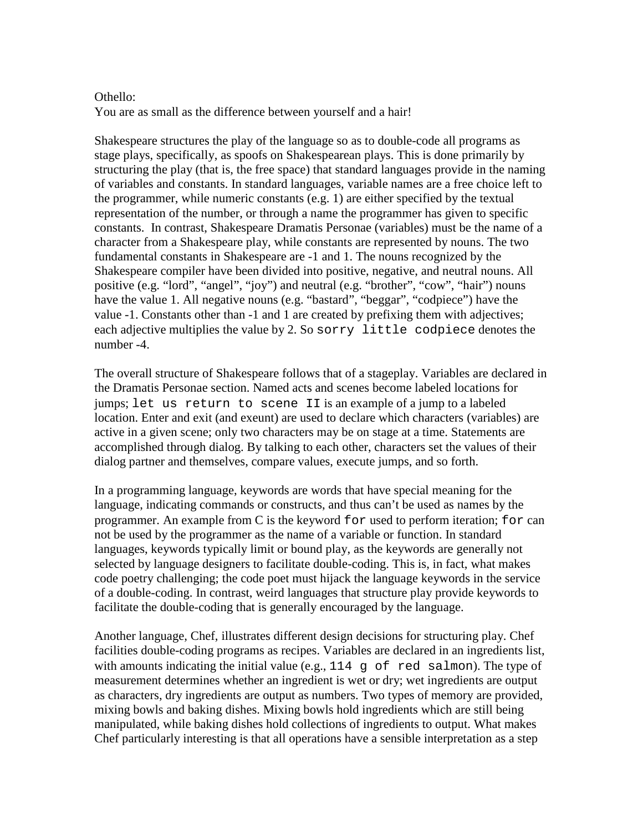## Othello:

You are as small as the difference between yourself and a hair!

Shakespeare structures the play of the language so as to double-code all programs as stage plays, specifically, as spoofs on Shakespearean plays. This is done primarily by structuring the play (that is, the free space) that standard languages provide in the naming of variables and constants. In standard languages, variable names are a free choice left to the programmer, while numeric constants (e.g. 1) are either specified by the textual representation of the number, or through a name the programmer has given to specific constants. In contrast, Shakespeare Dramatis Personae (variables) must be the name of a character from a Shakespeare play, while constants are represented by nouns. The two fundamental constants in Shakespeare are -1 and 1. The nouns recognized by the Shakespeare compiler have been divided into positive, negative, and neutral nouns. All positive (e.g. "lord", "angel", "joy") and neutral (e.g. "brother", "cow", "hair") nouns have the value 1. All negative nouns (e.g. "bastard", "beggar", "codpiece") have the value -1. Constants other than -1 and 1 are created by prefixing them with adjectives; each adjective multiplies the value by 2. So sorry little codpiece denotes the number -4.

The overall structure of Shakespeare follows that of a stageplay. Variables are declared in the Dramatis Personae section. Named acts and scenes become labeled locations for jumps; let us return to scene II is an example of a jump to a labeled location. Enter and exit (and exeunt) are used to declare which characters (variables) are active in a given scene; only two characters may be on stage at a time. Statements are accomplished through dialog. By talking to each other, characters set the values of their dialog partner and themselves, compare values, execute jumps, and so forth.

In a programming language, keywords are words that have special meaning for the language, indicating commands or constructs, and thus can't be used as names by the programmer. An example from C is the keyword for used to perform iteration; for can not be used by the programmer as the name of a variable or function. In standard languages, keywords typically limit or bound play, as the keywords are generally not selected by language designers to facilitate double-coding. This is, in fact, what makes code poetry challenging; the code poet must hijack the language keywords in the service of a double-coding. In contrast, weird languages that structure play provide keywords to facilitate the double-coding that is generally encouraged by the language.

Another language, Chef, illustrates different design decisions for structuring play. Chef facilities double-coding programs as recipes. Variables are declared in an ingredients list, with amounts indicating the initial value (e.g.,  $114$  g of red salmon). The type of measurement determines whether an ingredient is wet or dry; wet ingredients are output as characters, dry ingredients are output as numbers. Two types of memory are provided, mixing bowls and baking dishes. Mixing bowls hold ingredients which are still being manipulated, while baking dishes hold collections of ingredients to output. What makes Chef particularly interesting is that all operations have a sensible interpretation as a step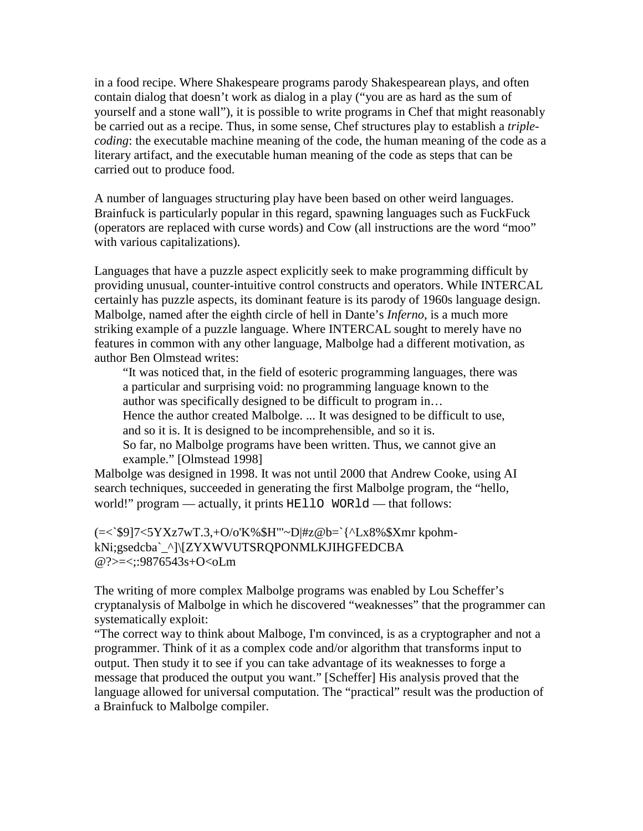in a food recipe. Where Shakespeare programs parody Shakespearean plays, and often contain dialog that doesn't work as dialog in a play ("you are as hard as the sum of yourself and a stone wall"), it is possible to write programs in Chef that might reasonably be carried out as a recipe. Thus, in some sense, Chef structures play to establish a *triplecoding*: the executable machine meaning of the code, the human meaning of the code as a literary artifact, and the executable human meaning of the code as steps that can be carried out to produce food.

A number of languages structuring play have been based on other weird languages. Brainfuck is particularly popular in this regard, spawning languages such as FuckFuck (operators are replaced with curse words) and Cow (all instructions are the word "moo" with various capitalizations).

Languages that have a puzzle aspect explicitly seek to make programming difficult by providing unusual, counter-intuitive control constructs and operators. While INTERCAL certainly has puzzle aspects, its dominant feature is its parody of 1960s language design. Malbolge, named after the eighth circle of hell in Dante's *Inferno*, is a much more striking example of a puzzle language. Where INTERCAL sought to merely have no features in common with any other language, Malbolge had a different motivation, as author Ben Olmstead writes:

"It was noticed that, in the field of esoteric programming languages, there was a particular and surprising void: no programming language known to the author was specifically designed to be difficult to program in… Hence the author created Malbolge. ... It was designed to be difficult to use, and so it is. It is designed to be incomprehensible, and so it is. So far, no Malbolge programs have been written. Thus, we cannot give an example." [Olmstead 1998]

Malbolge was designed in 1998. It was not until 2000 that Andrew Cooke, using AI search techniques, succeeded in generating the first Malbolge program, the "hello, world!" program — actually, it prints HEllO WORld — that follows:

(=<`\$9]7<5YXz7wT.3,+O/o'K%\$H"'~D|#z@b=`{^Lx8%\$Xmr kpohmkNi;gsedcba`\_^]\[ZYXWVUTSRQPONMLKJIHGFEDCBA @?>=<;:9876543s+O<oLm

The writing of more complex Malbolge programs was enabled by Lou Scheffer's cryptanalysis of Malbolge in which he discovered "weaknesses" that the programmer can systematically exploit:

"The correct way to think about Malboge, I'm convinced, is as a cryptographer and not a programmer. Think of it as a complex code and/or algorithm that transforms input to output. Then study it to see if you can take advantage of its weaknesses to forge a message that produced the output you want." [Scheffer] His analysis proved that the language allowed for universal computation. The "practical" result was the production of a Brainfuck to Malbolge compiler.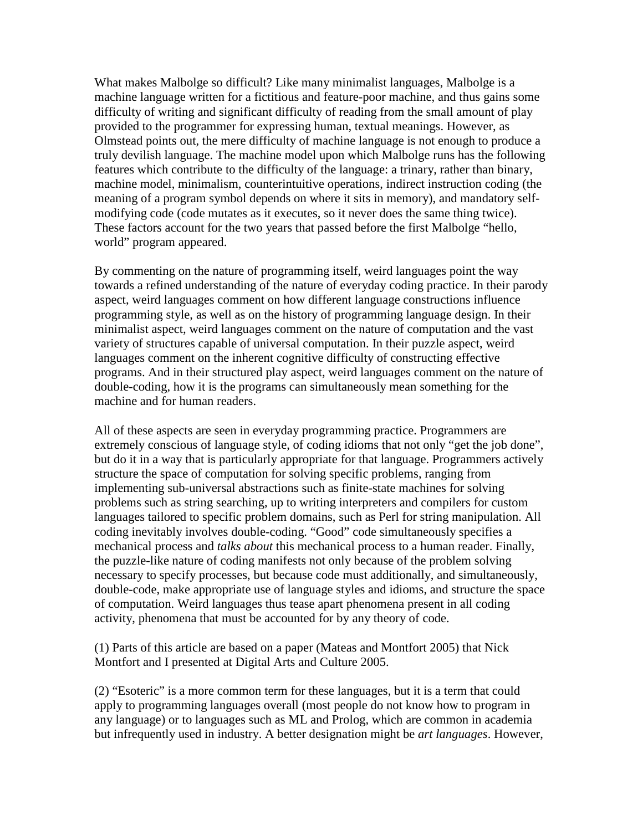What makes Malbolge so difficult? Like many minimalist languages, Malbolge is a machine language written for a fictitious and feature-poor machine, and thus gains some difficulty of writing and significant difficulty of reading from the small amount of play provided to the programmer for expressing human, textual meanings. However, as Olmstead points out, the mere difficulty of machine language is not enough to produce a truly devilish language. The machine model upon which Malbolge runs has the following features which contribute to the difficulty of the language: a trinary, rather than binary, machine model, minimalism, counterintuitive operations, indirect instruction coding (the meaning of a program symbol depends on where it sits in memory), and mandatory selfmodifying code (code mutates as it executes, so it never does the same thing twice). These factors account for the two years that passed before the first Malbolge "hello, world" program appeared.

By commenting on the nature of programming itself, weird languages point the way towards a refined understanding of the nature of everyday coding practice. In their parody aspect, weird languages comment on how different language constructions influence programming style, as well as on the history of programming language design. In their minimalist aspect, weird languages comment on the nature of computation and the vast variety of structures capable of universal computation. In their puzzle aspect, weird languages comment on the inherent cognitive difficulty of constructing effective programs. And in their structured play aspect, weird languages comment on the nature of double-coding, how it is the programs can simultaneously mean something for the machine and for human readers.

All of these aspects are seen in everyday programming practice. Programmers are extremely conscious of language style, of coding idioms that not only "get the job done", but do it in a way that is particularly appropriate for that language. Programmers actively structure the space of computation for solving specific problems, ranging from implementing sub-universal abstractions such as finite-state machines for solving problems such as string searching, up to writing interpreters and compilers for custom languages tailored to specific problem domains, such as Perl for string manipulation. All coding inevitably involves double-coding. "Good" code simultaneously specifies a mechanical process and *talks about* this mechanical process to a human reader. Finally, the puzzle-like nature of coding manifests not only because of the problem solving necessary to specify processes, but because code must additionally, and simultaneously, double-code, make appropriate use of language styles and idioms, and structure the space of computation. Weird languages thus tease apart phenomena present in all coding activity, phenomena that must be accounted for by any theory of code.

(1) Parts of this article are based on a paper (Mateas and Montfort 2005) that Nick Montfort and I presented at Digital Arts and Culture 2005.

(2) "Esoteric" is a more common term for these languages, but it is a term that could apply to programming languages overall (most people do not know how to program in any language) or to languages such as ML and Prolog, which are common in academia but infrequently used in industry. A better designation might be *art languages*. However,